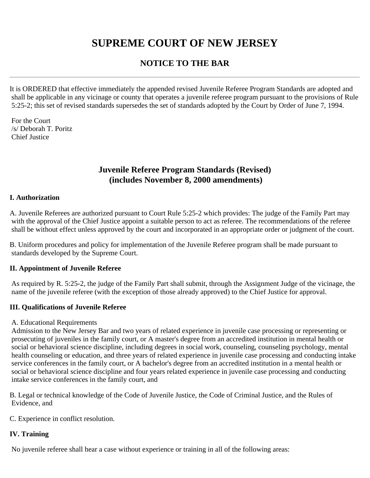# **SUPREME COURT OF NEW JERSEY**

# **NOTICE TO THE BAR**

It is ORDERED that effective immediately the appended revised Juvenile Referee Program Standards are adopted and shall be applicable in any vicinage or county that operates a juvenile referee program pursuant to the provisions of Rule 5:25-2; this set of revised standards supersedes the set of standards adopted by the Court by Order of June 7, 1994.

For the Court /s/ Deborah T. Poritz Chief Justice

## **Juvenile Referee Program Standards (Revised) (includes November 8, 2000 amendments)**

#### **I. Authorization**

A. Juvenile Referees are authorized pursuant to Court Rule 5:25-2 which provides: The judge of the Family Part may with the approval of the Chief Justice appoint a suitable person to act as referee. The recommendations of the referee shall be without effect unless approved by the court and incorporated in an appropriate order or judgment of the court.

B. Uniform procedures and policy for implementation of the Juvenile Referee program shall be made pursuant to standards developed by the Supreme Court.

#### **II. Appointment of Juvenile Referee**

As required by R. 5:25-2, the judge of the Family Part shall submit, through the Assignment Judge of the vicinage, the name of the juvenile referee (with the exception of those already approved) to the Chief Justice for approval.

#### **III. Qualifications of Juvenile Referee**

#### A. Educational Requirements

Admission to the New Jersey Bar and two years of related experience in juvenile case processing or representing or prosecuting of juveniles in the family court, or A master's degree from an accredited institution in mental health or social or behavioral science discipline, including degrees in social work, counseling, counseling psychology, mental health counseling or education, and three years of related experience in juvenile case processing and conducting intake service conferences in the family court, or A bachelor's degree from an accredited institution in a mental health or social or behavioral science discipline and four years related experience in juvenile case processing and conducting intake service conferences in the family court, and

B. Legal or technical knowledge of the Code of Juvenile Justice, the Code of Criminal Justice, and the Rules of Evidence, and

C. Experience in conflict resolution.

#### **IV. Training**

No juvenile referee shall hear a case without experience or training in all of the following areas: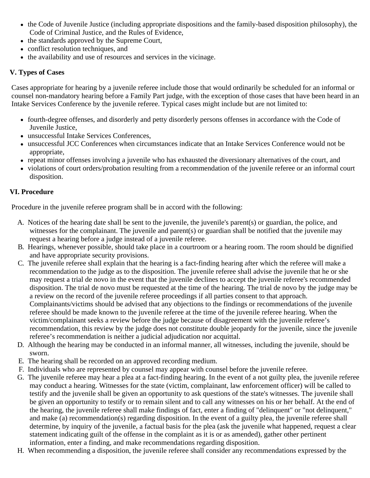- the Code of Juvenile Justice (including appropriate dispositions and the family-based disposition philosophy), the Code of Criminal Justice, and the Rules of Evidence,
- the standards approved by the Supreme Court,
- conflict resolution techniques, and
- the availability and use of resources and services in the vicinage.

## **V. Types of Cases**

Cases appropriate for hearing by a juvenile referee include those that would ordinarily be scheduled for an informal or counsel non-mandatory hearing before a Family Part judge, with the exception of those cases that have been heard in an Intake Services Conference by the juvenile referee. Typical cases might include but are not limited to:

- fourth-degree offenses, and disorderly and petty disorderly persons offenses in accordance with the Code of Juvenile Justice,
- unsuccessful Intake Services Conferences,
- unsuccessful JCC Conferences when circumstances indicate that an Intake Services Conference would not be appropriate,
- repeat minor offenses involving a juvenile who has exhausted the diversionary alternatives of the court, and
- violations of court orders/probation resulting from a recommendation of the juvenile referee or an informal court disposition.

#### **VI. Procedure**

Procedure in the juvenile referee program shall be in accord with the following:

- A. Notices of the hearing date shall be sent to the juvenile, the juvenile's parent(s) or guardian, the police, and witnesses for the complainant. The juvenile and parent(s) or guardian shall be notified that the juvenile may request a hearing before a judge instead of a juvenile referee.
- B. Hearings, whenever possible, should take place in a courtroom or a hearing room. The room should be dignified and have appropriate security provisions.
- C. The juvenile referee shall explain that the hearing is a fact-finding hearing after which the referee will make a recommendation to the judge as to the disposition. The juvenile referee shall advise the juvenile that he or she may request a trial de novo in the event that the juvenile declines to accept the juvenile referee's recommended disposition. The trial de novo must be requested at the time of the hearing. The trial de novo by the judge may be a review on the record of the juvenile referee proceedings if all parties consent to that approach. Complainants/victims should be advised that any objections to the findings or recommendations of the juvenile referee should be made known to the juvenile referee at the time of the juvenile referee hearing. When the victim/complainant seeks a review before the judge because of disagreement with the juvenile referee's recommendation, this review by the judge does not constitute double jeopardy for the juvenile, since the juvenile referee's recommendation is neither a judicial adjudication nor acquittal.
- D. Although the hearing may be conducted in an informal manner, all witnesses, including the juvenile, should be sworn.
- E. The hearing shall be recorded on an approved recording medium.
- F. Individuals who are represented by counsel may appear with counsel before the juvenile referee.
- G. The juvenile referee may hear a plea at a fact-finding hearing. In the event of a not guilty plea, the juvenile referee may conduct a hearing. Witnesses for the state (victim, complainant, law enforcement officer) will be called to testify and the juvenile shall be given an opportunity to ask questions of the state's witnesses. The juvenile shall be given an opportunity to testify or to remain silent and to call any witnesses on his or her behalf. At the end of the hearing, the juvenile referee shall make findings of fact, enter a finding of "delinquent" or "not delinquent," and make (a) recommendation(s) regarding disposition. In the event of a guilty plea, the juvenile referee shall determine, by inquiry of the juvenile, a factual basis for the plea (ask the juvenile what happened, request a clear statement indicating guilt of the offense in the complaint as it is or as amended), gather other pertinent information, enter a finding, and make recommendations regarding disposition.
- H. When recommending a disposition, the juvenile referee shall consider any recommendations expressed by the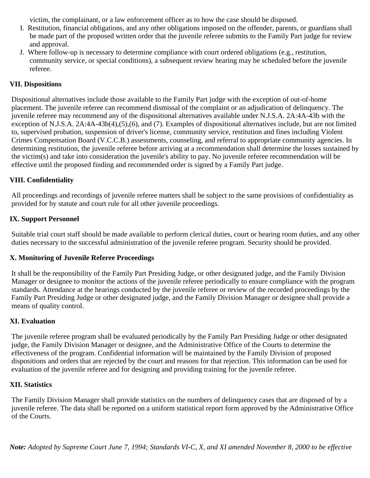victim, the complainant, or a law enforcement officer as to how the case should be disposed.

- I. Restitution, financial obligations, and any other obligations imposed on the offender, parents, or guardians shall be made part of the proposed written order that the juvenile referee submits to the Family Part judge for review and approval.
- J. Where follow-up is necessary to determine compliance with court ordered obligations (e.g., restitution, community service, or special conditions), a subsequent review hearing may be scheduled before the juvenile referee.

## **VII. Dispositions**

Dispositional alternatives include those available to the Family Part judge with the exception of out-of-home placement. The juvenile referee can recommend dismissal of the complaint or an adjudication of delinquency. The juvenile referee may recommend any of the dispositional alternatives available under N.J.S.A. 2A:4A-43b with the exception of N.J.S.A. 2A:4A-43b(4),(5),(6), and (7). Examples of dispositional alternatives include, but are not limited to, supervised probation, suspension of driver's license, community service, restitution and fines including Violent Crimes Compensation Board (V.C.C.B.) assessments, counseling, and referral to appropriate community agencies. In determining restitution, the juvenile referee before arriving at a recommendation shall determine the losses sustained by the victim(s) and take into consideration the juvenile's ability to pay. No juvenile referee recommendation will be effective until the proposed finding and recommended order is signed by a Family Part judge.

## **VIII. Confidentiality**

All proceedings and recordings of juvenile referee matters shall be subject to the same provisions of confidentiality as provided for by statute and court rule for all other juvenile proceedings.

## **IX. Support Personnel**

Suitable trial court staff should be made available to perform clerical duties, court or hearing room duties, and any other duties necessary to the successful administration of the juvenile referee program. Security should be provided.

#### **X. Monitoring of Juvenile Referee Proceedings**

 It shall be the responsibility of the Family Part Presiding Judge, or other designated judge, and the Family Division Manager or designee to monitor the actions of the juvenile referee periodically to ensure compliance with the program standards. Attendance at the hearings conducted by the juvenile referee or review of the recorded proceedings by the Family Part Presiding Judge or other designated judge, and the Family Division Manager or designee shall provide a means of quality control.

#### **XI. Evaluation**

The juvenile referee program shall be evaluated periodically by the Family Part Presiding Judge or other designated judge, the Family Division Manager or designee, and the Administrative Office of the Courts to determine the effectiveness of the program. Confidential information will be maintained by the Family Division of proposed dispositions and orders that are rejected by the court and reasons for that rejection. This information can be used for evaluation of the juvenile referee and for designing and providing training for the juvenile referee.

#### **XII. Statistics**

The Family Division Manager shall provide statistics on the numbers of delinquency cases that are disposed of by a juvenile referee. The data shall be reported on a uniform statistical report form approved by the Administrative Office of the Courts.

*Note: Adopted by Supreme Court June 7, 1994; Standards VI-C, X, and XI amended November 8, 2000 to be effective*